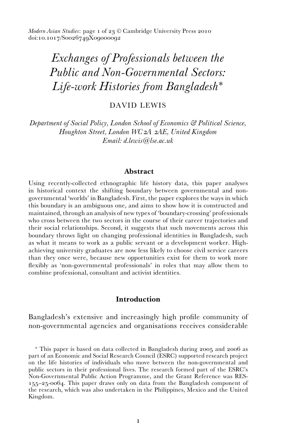*Modern Asian Studies*: page 1 of 23 © Cambridge University Press 2010 doi:10.1017/S0026749X09000092

# *Exchanges of Professionals between the Public and Non-Governmental Sectors: Life-work Histories from Bangladesh*<sup>∗</sup>

DAVID LEWIS

*Department of Social Policy, London School of Economics & Political Science, Houghton Street, London WC2A 2AE, United Kingdom Email: d.lewis@lse.ac.uk*

## **Abstract**

Using recently-collected ethnographic life history data, this paper analyses in historical context the shifting boundary between governmental and nongovernmental 'worlds' in Bangladesh. First, the paper explores the ways in which this boundary is an ambiguous one, and aims to show how it is constructed and maintained, through an analysis of new types of 'boundary-crossing' professionals who cross between the two sectors in the course of their career trajectories and their social relationships. Second, it suggests that such movements across this boundary throws light on changing professional identities in Bangladesh, such as what it means to work as a public servant or a development worker. Highachieving university graduates are now less likely to choose civil service careers than they once were, because new opportunities exist for them to work more flexibly as 'non-governmental professionals' in roles that may allow them to combine professional, consultant and activist identities.

## **Introduction**

Bangladesh's extensive and increasingly high profile community of non-governmental agencies and organisations receives considerable

<sup>∗</sup> This paper is based on data collected in Bangladesh during 2005 and 2006 as part of an Economic and Social Research Council (ESRC) supported research project on the life histories of individuals who move between the non-governmental and public sectors in their professional lives. The research formed part of the ESRC's Non-Governmental Public Action Programme, and the Grant Reference was RES-155–25-0064. This paper draws only on data from the Bangladesh component of the research, which was also undertaken in the Philippines, Mexico and the United Kingdom.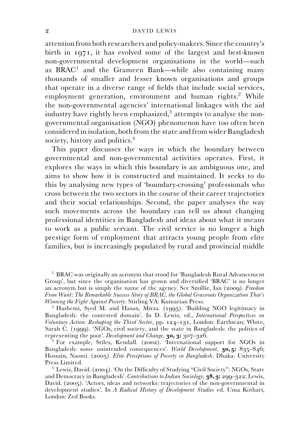attention from both researchers and policy-makers. Since the country's birth in 1971, it has evolved some of the largest and best-known non-governmental development organisations in the world—such as BRAC<sup>1</sup> and the Grameen Bank—while also containing many thousands of smaller and lesser known organisations and groups that operate in a diverse range of fields that include social services, employment generation, environment and human rights.<sup>2</sup> While the non-governmental agencies' international linkages with the aid industry have rightly been emphasized, $3$  attempts to analyse the nongovernmental organisation (NGO) phenomenon have too often been considered in isolation, both from the state and from wider Bangladesh society, history and politics.<sup>4</sup>

This paper discusses the ways in which the boundary between governmental and non-governmental activities operates. First, it explores the ways in which this boundary is an ambiguous one, and aims to show how it is constructed and maintained. It seeks to do this by analysing new types of 'boundary-crossing' professionals who cross between the two sectors in the course of their career trajectories and their social relationships. Second, the paper analyses the way such movements across the boundary can tell us about changing professional identities in Bangladesh and ideas about what it means to work as a public servant. The civil service is no longer a high prestige form of employment that attracts young people from elite families, but is increasingly populated by rural and provincial middle

<sup>&</sup>lt;sup>1</sup> BRAC was originally an acronym that stood for 'Bangladesh Rural Advancement Group', but since the organisation has grown and diversified 'BRAC' is no longer an acronym but is simply the name of the agency. See Smillie, Ian (2009). *Freedom From Want*: *The Remarkable Success Story of BRAC, the Global Grassroots Organization That's*

<sup>&</sup>lt;sup>2</sup> Hashemi, Syed M. and Hasan, Mirza. (1995). 'Building NGO legitimacy in Bangladesh: the contested domain'. In D. Lewis, ed., *International Perspectives on Voluntary Action: Reshaping the Third Sector*, pp. 124–131, London: Earthscan; White, Sarah C. (1999). 'NGOs, civil society, and the state in Bangladesh: the politics of representing the poor'. Development and Change, **30, 3:**  $307-326$ .

<sup>&</sup>lt;sup>3</sup> For example, Stiles, Kendall. (2002). 'International support for NGOs in Bangladesh: some unintended consequences'. *World Development,* **30, 5:** 835–846; Hossain, Naomi. (2005). *Elite Perceptions of Poverty in Bangladesh*. Dhaka: University

 $^4$  Lewis, David. (2004). 'On the Difficulty of Studying "Civil Society": NGOs, State and Democracy in Bangladesh'. *Contributions to Indian Sociology,* **38, 3:** 299–322; Lewis, David. (2005). 'Actors, ideas and networks: trajectories of the non-governmental in development studies'. In *A Radical History of Development Studies* ed. Uma Kothari, London: Zed Books.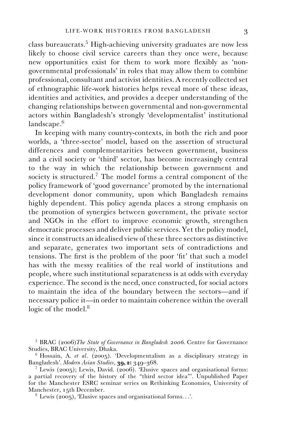class bureaucrats.<sup>5</sup> High-achieving university graduates are now less likely to choose civil service careers than they once were, because new opportunities exist for them to work more flexibly as 'nongovernmental professionals' in roles that may allow them to combine professional, consultant and activist identities. A recently collected set of ethnographic life-work histories helps reveal more of these ideas, identities and activities, and provides a deeper understanding of the changing relationships between governmental and non-governmental actors within Bangladesh's strongly 'developmentalist' institutional  $landscale<sub>6</sub>$ 

In keeping with many country-contexts, in both the rich and poor worlds, a 'three-sector' model, based on the assertion of structural differences and complementarities between government, business and a civil society or 'third' sector, has become increasingly central to the way in which the relationship between government and society is structured.<sup>7</sup> The model forms a central component of the policy framework of 'good governance' promoted by the international development donor community, upon which Bangladesh remains highly dependent. This policy agenda places a strong emphasis on the promotion of synergies between government, the private sector and NGOs in the effort to improve economic growth, strengthen democratic processes and deliver public services. Yet the policy model, since it constructs an idealised view of these three sectors as distinctive and separate, generates two important sets of contradictions and tensions. The first is the problem of the poor 'fit' that such a model has with the messy realities of the real world of institutions and people, where such institutional separateness is at odds with everyday experience. The second is the need, once constructed, for social actors to maintain the idea of the boundary between the sectors—and if necessary police it—in order to maintain coherence within the overall logic of the model.<sup>8</sup>

<sup>5</sup> BRAC (2006)*The State of Governance in Bangladesh 2006*. Centre for Governance

<sup>&</sup>lt;sup>6</sup> Hossain, A. *et al.* (2005). 'Developmentalism as a disciplinary strategy in Bangladesh'. *Modern Asian Studies*, **39, 2:** 349–368.

<sup>&</sup>lt;sup>7</sup> Lewis (2005); Lewis, David. (2006). 'Elusive spaces and organisational forms: a partial recovery of the history of the "third sector idea"'. Unpublished Paper for the Manchester ESRC seminar series on Rethinking Economies, University of Manchester, 15th December.

 $8$  Lewis (2005), 'Elusive spaces and organisational forms...'.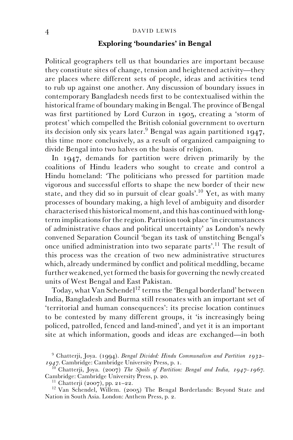# **Exploring 'boundaries' in Bengal**

Political geographers tell us that boundaries are important because they constitute sites of change, tension and heightened activity—they are places where different sets of people, ideas and activities tend to rub up against one another. Any discussion of boundary issues in contemporary Bangladesh needs first to be contextualised within the historical frame of boundary making in Bengal. The province of Bengal was first partitioned by Lord Curzon in 1905, creating a 'storm of protest' which compelled the British colonial government to overturn its decision only six years later.<sup>9</sup> Bengal was again partitioned 1947, this time more conclusively, as a result of organized campaigning to divide Bengal into two halves on the basis of religion.

In 1947, demands for partition were driven primarily by the coalitions of Hindu leaders who sought to create and control a Hindu homeland: 'The politicians who pressed for partition made vigorous and successful efforts to shape the new border of their new state, and they did so in pursuit of clear goals'.<sup>10</sup> Yet, as with many processes of boundary making, a high level of ambiguity and disorder characterised this historical moment, and this has continued with longterm implications for the region. Partition took place 'in circumstances of administrative chaos and political uncertainty' as London's newly convened Separation Council 'began its task of unstitching Bengal's once unified administration into two separate parts'.11 The result of this process was the creation of two new administrative structures which, already undermined by conflict and political meddling, became further weakened, yet formed the basis for governing the newly created units of West Bengal and East Pakistan.

Today, what Van Schendel<sup>12</sup> terms the 'Bengal borderland' between India, Bangladesh and Burma still resonates with an important set of 'territorial and human consequences': its precise location continues to be contested by many different groups, it 'is increasingly being policed, patrolled, fenced and land-mined', and yet it is an important site at which information, goods and ideas are exchanged—in both

<sup>9</sup> Chatterji, Joya. (1994). *Bengal Divided: Hindu Communalism and Partition 1932–*

<sup>&</sup>lt;sup>10</sup> Chatterji, Joya. (2007) *The Spoils of Partition: Bengal and India, 1947–1967.* Cambridge: Cambridge University Press, p. 20.

<sup>&</sup>lt;sup>11</sup> Chatterji (2007), pp. 21–22.<br><sup>12</sup> Van Schendel, Willem. (2005) The Bengal Borderlands: Beyond State and Nation in South Asia. London: Anthem Press, p. 2.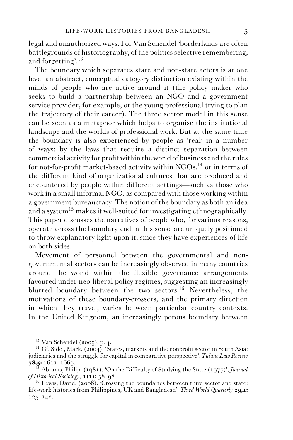legal and unauthorized ways. For Van Schendel 'borderlands are often battlegrounds of historiography, of the politics selective remembering, and forgetting'.<sup>13</sup>

The boundary which separates state and non-state actors is at one level an abstract, conceptual category distinction existing within the minds of people who are active around it (the policy maker who seeks to build a partnership between an NGO and a government service provider, for example, or the young professional trying to plan the trajectory of their career). The three sector model in this sense can be seen as a metaphor which helps to organise the institutional landscape and the worlds of professional work. But at the same time the boundary is also experienced by people as 'real' in a number of ways: by the laws that require a distinct separation between commercial activity for profit within the world of business and the rules for not-for-profit market-based activity within  $NGOs$ ,<sup>14</sup> or in terms of the different kind of organizational cultures that are produced and encountered by people within different settings—such as those who work in a small informal NGO, as compared with those working within a government bureaucracy. The notion of the boundary as both an idea and a system<sup>15</sup> makes it well-suited for investigating ethnographically. This paper discusses the narratives of people who, for various reasons, operate across the boundary and in this sense are uniquely positioned to throw explanatory light upon it, since they have experiences of life on both sides.

Movement of personnel between the governmental and nongovernmental sectors can be increasingly observed in many countries around the world within the flexible governance arrangements favoured under neo-liberal policy regimes, suggesting an increasingly blurred boundary between the two sectors.<sup>16</sup> Nevertheless, the motivations of these boundary-crossers, and the primary direction in which they travel, varies between particular country contexts. In the United Kingdom, an increasingly porous boundary between

<sup>&</sup>lt;sup>13</sup> Van Schendel (2005), p. 4.<br><sup>14</sup> Cf. Sidel, Mark. (2004). 'States, markets and the nonprofit sector in South Asia: judiciaries and the struggle for capital in comparative perspective'. *Tulane Law Review*

<sup>&</sup>lt;sup>18</sup> 18 Abrams, Philip. (1981). 'On the Difficulty of Studying the State (1977)', *Journal* of Historical Sociology, **1(1):** 58–98.

<sup>&</sup>lt;sup>16</sup> Lewis, David. (2008). 'Crossing the boundaries between third sector and state: life-work histories from Philippines, UK and Bangladesh'. *Third World Quarterly* **29,1:** 125–142.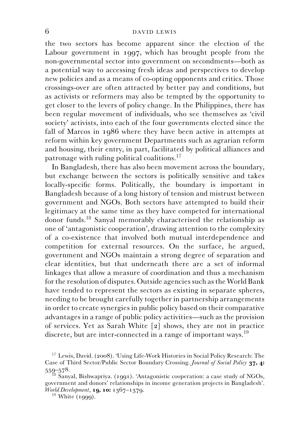the two sectors has become apparent since the election of the Labour government in 1997, which has brought people from the non-governmental sector into government on secondments—both as a potential way to accessing fresh ideas and perspectives to develop new policies and as a means of co-opting opponents and critics. Those crossings-over are often attracted by better pay and conditions, but as activists or reformers may also be tempted by the opportunity to get closer to the levers of policy change. In the Philippines, there has been regular movement of individuals, who see themselves as 'civil society' activists, into each of the four governments elected since the fall of Marcos in 1986 where they have been active in attempts at reform within key government Departments such as agrarian reform and housing, their entry, in part, facilitated by political alliances and patronage with ruling political coalitions.<sup>17</sup>

In Bangladesh, there has also been movement across the boundary, but exchange between the sectors is politically sensitive and takes locally-specific forms. Politically, the boundary is important in Bangladesh because of a long history of tension and mistrust between government and NGOs. Both sectors have attempted to build their legitimacy at the same time as they have competed for international donor funds.<sup>18</sup> Sanyal memorably characterised the relationship as one of 'antagonistic cooperation', drawing attention to the complexity of a co-existence that involved both mutual interdependence and competition for external resources. On the surface, he argued, government and NGOs maintain a strong degree of separation and clear identities, but that underneath there are a set of informal linkages that allow a measure of coordination and thus a mechanism for the resolution of disputes. Outside agencies such as the World Bank have tended to represent the sectors as existing in separate spheres, needing to be brought carefully together in partnership arrangements in order to create synergies in public policy based on their comparative advantages in a range of public policy activities—such as the provision of services. Yet as Sarah White [2] shows, they are not in practice discrete, but are inter-connected in a range of important ways.<sup>19</sup>

<sup>17</sup> Lewis, David. (2008). 'Using Life-Work Histories in Social Policy Research: The Case of Third Sector/Public Sector Boundary Crossing. *Journal of Social Policy* **37, 4:** <sup>559</sup>–578. <sup>18</sup> Sanyal, Bishwapriya. (1991). 'Antagonistic cooperation: a case study of NGOs,

government and donors' relationships in income generation projects in Bangladesh'. *World Development*, **19, 10:** 1367–1379.<br><sup>19</sup> White (1999).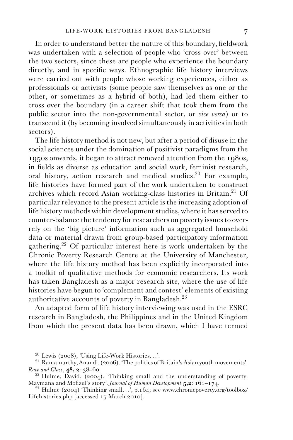In order to understand better the nature of this boundary, fieldwork was undertaken with a selection of people who 'cross over' between the two sectors, since these are people who experience the boundary directly, and in specific ways. Ethnographic life history interviews were carried out with people whose working experiences, either as professionals or activists (some people saw themselves as one or the other, or sometimes as a hybrid of both), had led them either to cross over the boundary (in a career shift that took them from the public sector into the non-governmental sector, or *vice versa*) or to transcend it (by becoming involved simultaneously in activities in both sectors).

The life history method is not new, but after a period of disuse in the social sciences under the domination of positivist paradigms from the 1950s onwards, it began to attract renewed attention from the 1980s, in fields as diverse as education and social work, feminist research, oral history, action research and medical studies.<sup>20</sup> For example, life histories have formed part of the work undertaken to construct archives which record Asian working-class histories in Britain.<sup>21</sup> Of particular relevance to the present article is the increasing adoption of life history methods within development studies, where it has served to counter-balance the tendency for researchers on poverty issues to overrely on the 'big picture' information such as aggregated household data or material drawn from group-based participatory information gathering.22 Of particular interest here is work undertaken by the Chronic Poverty Research Centre at the University of Manchester, where the life history method has been explicitly incorporated into a toolkit of qualitative methods for economic researchers. Its work has taken Bangladesh as a major research site, where the use of life histories have begun to 'complement and contest' elements of existing authoritative accounts of poverty in Bangladesh.23

An adapted form of life history interviewing was used in the ESRC research in Bangladesh, the Philippines and in the United Kingdom from which the present data has been drawn, which I have termed

<sup>&</sup>lt;sup>20</sup> Lewis (2008), 'Using Life-Work Histories...'.<br><sup>21</sup> Ramamurthy, Anandi. (2006). 'The politics of Britain's Asian youth movements'.<br>*Race and Class*, **48, 2**: 38–60.

<sup>&</sup>lt;sup>22</sup> Hulme, David. (2004). 'Thinking small and the understanding of poverty: Maymana and Mofizul's story'. *Journal of Human Development* **5,2**: 161–174.

<sup>&</sup>lt;sup>23</sup> Hulme (2004) 'Thinking small...', p.164; see www.chronicpoverty.org/toolbox/ Lifehistories.php [accessed 17 March 2010].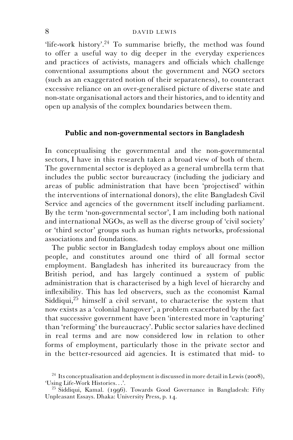'life-work history'.<sup>24</sup> To summarise briefly, the method was found to offer a useful way to dig deeper in the everyday experiences and practices of activists, managers and officials which challenge conventional assumptions about the government and NGO sectors (such as an exaggerated notion of their separateness), to counteract excessive reliance on an over-generalised picture of diverse state and non-state organisational actors and their histories, and to identity and open up analysis of the complex boundaries between them.

# **Public and non-governmental sectors in Bangladesh**

In conceptualising the governmental and the non-governmental sectors, I have in this research taken a broad view of both of them. The governmental sector is deployed as a general umbrella term that includes the public sector bureaucracy (including the judiciary and areas of public administration that have been 'projectised' within the interventions of international donors), the elite Bangladesh Civil Service and agencies of the government itself including parliament. By the term 'non-governmental sector', I am including both national and international NGOs, as well as the diverse group of 'civil society' or 'third sector' groups such as human rights networks, professional associations and foundations.

The public sector in Bangladesh today employs about one million people, and constitutes around one third of all formal sector employment. Bangladesh has inherited its bureaucracy from the British period, and has largely continued a system of public administration that is characterised by a high level of hierarchy and inflexibility. This has led observers, such as the economist Kamal Siddiqui,<sup>25</sup> himself a civil servant, to characterise the system that now exists as a 'colonial hangover', a problem exacerbated by the fact that successive government have been 'interested more in 'capturing' than 'reforming' the bureaucracy'. Public sector salaries have declined in real terms and are now considered low in relation to other forms of employment, particularly those in the private sector and in the better-resourced aid agencies. It is estimated that mid- to

<sup>&</sup>lt;sup>24</sup> Its conceptualisation and deployment is discussed in more detail in Lewis (2008), 'Using Life-Work Histories...'.

 $^{25}$  Siddiqui, Kamal. (1996). Towards Good Governance in Bangladesh: Fifty Unpleasant Essays. Dhaka: University Press, p. 14.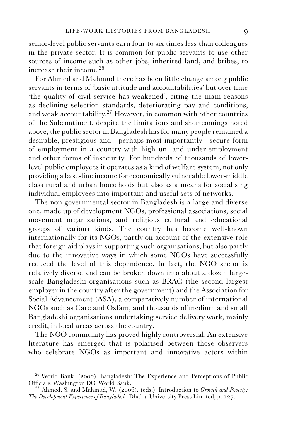senior-level public servants earn four to six times less than colleagues in the private sector. It is common for public servants to use other sources of income such as other jobs, inherited land, and bribes, to increase their income.<sup>26</sup>

For Ahmed and Mahmud there has been little change among public servants in terms of 'basic attitude and accountabilities' but over time 'the quality of civil service has weakened', citing the main reasons as declining selection standards, deteriorating pay and conditions, and weak accountability.<sup>27</sup> However, in common with other countries of the Subcontinent, despite the limitations and shortcomings noted above, the public sector in Bangladesh has for many people remained a desirable, prestigious and—perhaps most importantly—secure form of employment in a country with high un- and under-employment and other forms of insecurity. For hundreds of thousands of lowerlevel public employees it operates as a kind of welfare system, not only providing a base-line income for economically vulnerable lower-middle class rural and urban households but also as a means for socialising individual employees into important and useful sets of networks.

The non-governmental sector in Bangladesh is a large and diverse one, made up of development NGOs, professional associations, social movement organisations, and religious cultural and educational groups of various kinds. The country has become well-known internationally for its NGOs, partly on account of the extensive role that foreign aid plays in supporting such organisations, but also partly due to the innovative ways in which some NGOs have successfully reduced the level of this dependence. In fact, the NGO sector is relatively diverse and can be broken down into about a dozen largescale Bangladeshi organisations such as BRAC (the second largest employer in the country after the government) and the Association for Social Advancement (ASA), a comparatively number of international NGOs such as Care and Oxfam, and thousands of medium and small Bangladeshi organisations undertaking service delivery work, mainly credit, in local areas across the country.

The NGO community has proved highly controversial. An extensive literature has emerged that is polarised between those observers who celebrate NGOs as important and innovative actors within

 $^{26}$  World Bank. (2000). Bangladesh: The Experience and Perceptions of Public Officials. Washington DC: World Bank.

<sup>&</sup>lt;sup>27</sup> Ahmed, S. and Mahmud, W. (2006). (eds.). Introduction to *Growth and Poverty: The Development Experience of Bangladesh*. Dhaka: University Press Limited, p. 127.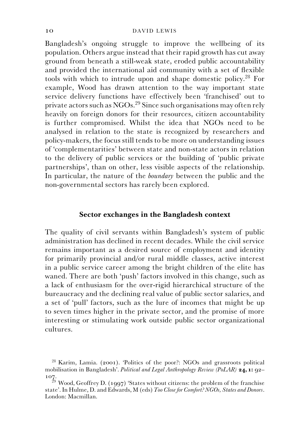Bangladesh's ongoing struggle to improve the wellbeing of its population. Others argue instead that their rapid growth has cut away ground from beneath a still-weak state, eroded public accountability and provided the international aid community with a set of flexible tools with which to intrude upon and shape domestic policy.<sup>28</sup> For example, Wood has drawn attention to the way important state service delivery functions have effectively been 'franchised' out to private actors such as  $\rm NGOs.^{29}$  Since such organisations may often rely heavily on foreign donors for their resources, citizen accountability is further compromised. Whilst the idea that NGOs need to be analysed in relation to the state is recognized by researchers and policy-makers, the focus still tends to be more on understanding issues of 'complementarities' between state and non-state actors in relation to the delivery of public services or the building of 'public private partnerships', than on other, less visible aspects of the relationship. In particular, the nature of the *boundary* between the public and the non-governmental sectors has rarely been explored.

# **Sector exchanges in the Bangladesh context**

The quality of civil servants within Bangladesh's system of public administration has declined in recent decades. While the civil service remains important as a desired source of employment and identity for primarily provincial and/or rural middle classes, active interest in a public service career among the bright children of the elite has waned. There are both 'push' factors involved in this change, such as a lack of enthusiasm for the over-rigid hierarchical structure of the bureaucracy and the declining real value of public sector salaries, and a set of 'pull' factors, such as the lure of incomes that might be up to seven times higher in the private sector, and the promise of more interesting or stimulating work outside public sector organizational cultures.

<sup>28</sup> Karim, Lamia. (2001). 'Politics of the poor?: NGOs and grassroots political mobilisation in Bangladesh'. *Political and Legal Anthropology Review (PoLAR)* **24, 1:** 92– 107.

 $^{29}$  Wood, Geoffrey D. (1997) 'States without citizens: the problem of the franchise state'. In Hulme, D. and Edwards, M (eds) *Too Close for Comfort? NGOs, States and Donors*. London: Macmillan.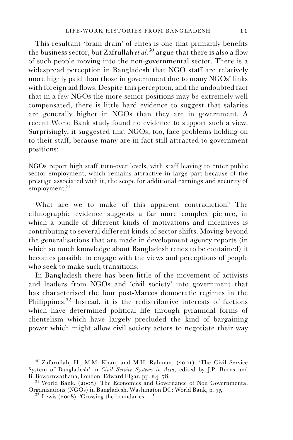This resultant 'brain drain' of elites is one that primarily benefits the business sector, but Zafrullah *et al.*<sup>30</sup> argue that there is also a flow of such people moving into the non-governmental sector. There is a widespread perception in Bangladesh that NGO staff are relatively more highly paid than those in government due to many NGOs' links with foreign aid flows. Despite this perception, and the undoubted fact that in a few NGOs the more senior positions may be extremely well compensated, there is little hard evidence to suggest that salaries are generally higher in NGOs than they are in government. A recent World Bank study found no evidence to support such a view. Surprisingly, it suggested that NGOs, too, face problems holding on to their staff, because many are in fact still attracted to government positions:

NGOs report high staff turn-over levels, with staff leaving to enter public sector employment, which remains attractive in large part because of the prestige associated with it, the scope for additional earnings and security of  $\text{emplovement.}^{31}$ 

What are we to make of this apparent contradiction? The ethnographic evidence suggests a far more complex picture, in which a bundle of different kinds of motivations and incentives is contributing to several different kinds of sector shifts. Moving beyond the generalisations that are made in development agency reports (in which so much knowledge about Bangladesh tends to be contained) it becomes possible to engage with the views and perceptions of people who seek to make such transitions.

In Bangladesh there has been little of the movement of activists and leaders from NGOs and 'civil society' into government that has characterised the four post-Marcos democratic regimes in the Philippines.32 Instead, it is the redistributive interests of factions which have determined political life through pyramidal forms of clientelism which have largely precluded the kind of bargaining power which might allow civil society actors to negotiate their way

<sup>30</sup> Zafarullah, H., M.M. Khan, and M.H. Rahman. (2001). 'The Civil Service System of Bangladesh' in *Civil Service Systems in Asia*, edited by J.P. Burns and

 $31$  World Bank. (2005). The Economics and Governance of Non Governmental Organizations (NGOs) in Bangladesh. Washington DC: World Bank, p. 75. <sup>32</sup> Lewis (2008). 'Crossing the boundaries ...'.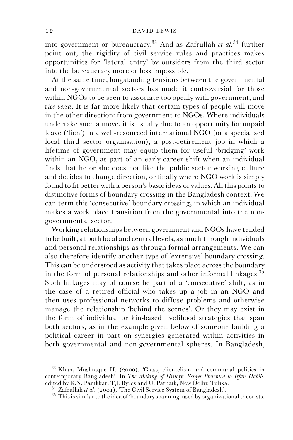into government or bureaucracy.33 And as Zafrullah *et al.*<sup>34</sup> further point out, the rigidity of civil service rules and practices makes opportunities for 'lateral entry' by outsiders from the third sector into the bureaucracy more or less impossible.

At the same time, longstanding tensions between the governmental and non-governmental sectors has made it controversial for those within NGOs to be seen to associate too openly with government, and *vice versa*. It is far more likely that certain types of people will move in the other direction: from government to NGOs. Where individuals undertake such a move, it is usually due to an opportunity for unpaid leave ('lien') in a well-resourced international NGO (or a specialised local third sector organisation), a post-retirement job in which a lifetime of government may equip them for useful 'bridging' work within an NGO, as part of an early career shift when an individual finds that he or she does not like the public sector working culture and decides to change direction, or finally where NGO work is simply found to fit better with a person's basic ideas or values. All this points to distinctive forms of boundary-crossing in the Bangladesh context. We can term this 'consecutive' boundary crossing, in which an individual makes a work place transition from the governmental into the nongovernmental sector.

Working relationships between government and NGOs have tended to be built, at both local and central levels, as much through individuals and personal relationships as through formal arrangements. We can also therefore identify another type of 'extensive' boundary crossing. This can be understood as activity that takes place across the boundary in the form of personal relationships and other informal linkages.<sup>35</sup> Such linkages may of course be part of a 'consecutive' shift, as in the case of a retired official who takes up a job in an NGO and then uses professional networks to diffuse problems and otherwise manage the relationship 'behind the scenes'. Or they may exist in the form of individual or kin-based livelihood strategies that span both sectors, as in the example given below of someone building a political career in part on synergies generated within activities in both governmental and non-governmental spheres. In Bangladesh,

<sup>33</sup> Khan, Mushtaque H. (2000). 'Class, clientelism and communal politics in contemporary Bangladesh'. In *The Making of History: Essays Presented to Irfan Habib*, edited by K.N. Panikkar, T.J. Byres and U. Patnaik, New Delhi: Tulika.<br><sup>34</sup> Zafrullah et al. (2001), The Civil Service System of Bangladesh'.<br><sup>35</sup> This is similar to the idea of 'boundary spanning' used by organizational t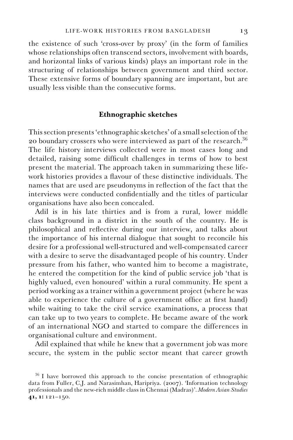the existence of such 'cross-over by proxy' (in the form of families whose relationships often transcend sectors, involvement with boards, and horizontal links of various kinds) plays an important role in the structuring of relationships between government and third sector. These extensive forms of boundary spanning are important, but are usually less visible than the consecutive forms.

## **Ethnographic sketches**

This section presents 'ethnographic sketches' of a small selection of the 20 boundary crossers who were interviewed as part of the research.<sup>36</sup> The life history interviews collected were in most cases long and detailed, raising some difficult challenges in terms of how to best present the material. The approach taken in summarizing these lifework histories provides a flavour of these distinctive individuals. The names that are used are pseudonyms in reflection of the fact that the interviews were conducted confidentially and the titles of particular organisations have also been concealed.

Adil is in his late thirties and is from a rural, lower middle class background in a district in the south of the country. He is philosophical and reflective during our interview, and talks about the importance of his internal dialogue that sought to reconcile his desire for a professional well-structured and well-compensated career with a desire to serve the disadvantaged people of his country. Under pressure from his father, who wanted him to become a magistrate, he entered the competition for the kind of public service job 'that is highly valued, even honoured' within a rural community. He spent a period working as a trainer within a government project (where he was able to experience the culture of a government office at first hand) while waiting to take the civil service examinations, a process that can take up to two years to complete. He became aware of the work of an international NGO and started to compare the differences in organisational culture and environment.

Adil explained that while he knew that a government job was more secure, the system in the public sector meant that career growth

<sup>&</sup>lt;sup>36</sup> I have borrowed this approach to the concise presentation of ethnographic data from Fuller, C.J. and Narasimhan, Haripriya. (2007). 'Information technology professionals and the new-rich middle class in Chennai (Madras)'. *Modern Asian Studies* **41, 1:** 121–150.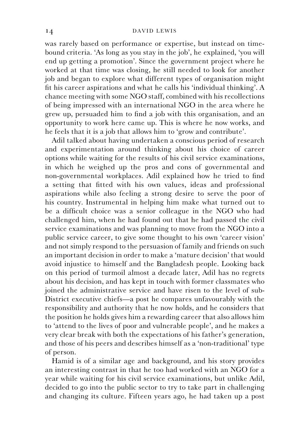was rarely based on performance or expertise, but instead on timebound criteria. 'As long as you stay in the job', he explained, 'you will end up getting a promotion'. Since the government project where he worked at that time was closing, he still needed to look for another job and began to explore what different types of organisation might fit his career aspirations and what he calls his 'individual thinking'. A chance meeting with some NGO staff, combined with his recollections of being impressed with an international NGO in the area where he grew up, persuaded him to find a job with this organisation, and an opportunity to work here came up. This is where he now works, and he feels that it is a job that allows him to 'grow and contribute'.

Adil talked about having undertaken a conscious period of research and experimentation around thinking about his choice of career options while waiting for the results of his civil service examinations, in which he weighed up the pros and cons of governmental and non-governmental workplaces. Adil explained how he tried to find a setting that fitted with his own values, ideas and professional aspirations while also feeling a strong desire to serve the poor of his country. Instrumental in helping him make what turned out to be a difficult choice was a senior colleague in the NGO who had challenged him, when he had found out that he had passed the civil service examinations and was planning to move from the NGO into a public service career, to give some thought to his own 'career vision' and not simply respond to the persuasion of family and friends on such an important decision in order to make a 'mature decision' that would avoid injustice to himself and the Bangladesh people. Looking back on this period of turmoil almost a decade later, Adil has no regrets about his decision, and has kept in touch with former classmates who joined the administrative service and have risen to the level of sub-District executive chiefs—a post he compares unfavourably with the responsibility and authority that he now holds, and he considers that the position he holds gives him a rewarding career that also allows him to 'attend to the lives of poor and vulnerable people', and he makes a very clear break with both the expectations of his father's generation, and those of his peers and describes himself as a 'non-traditional' type of person.

Hamid is of a similar age and background, and his story provides an interesting contrast in that he too had worked with an NGO for a year while waiting for his civil service examinations, but unlike Adil, decided to go into the public sector to try to take part in challenging and changing its culture. Fifteen years ago, he had taken up a post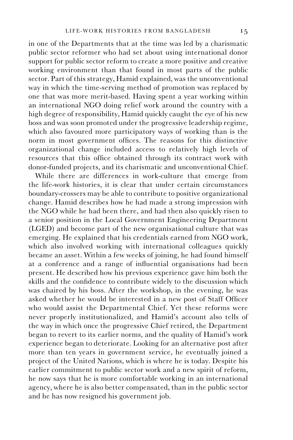in one of the Departments that at the time was led by a charismatic public sector reformer who had set about using international donor support for public sector reform to create a more positive and creative working environment than that found in most parts of the public sector. Part of this strategy, Hamid explained, was the unconventional way in which the time-serving method of promotion was replaced by one that was more merit-based. Having spent a year working within an international NGO doing relief work around the country with a high degree of responsibility, Hamid quickly caught the eye of his new boss and was soon promoted under the progressive leadership regime, which also favoured more participatory ways of working than is the norm in most government offices. The reasons for this distinctive organizational change included access to relatively high levels of resources that this office obtained through its contract work with donor-funded projects, and its charismatic and unconventional Chief.

While there are differences in work-culture that emerge from the life-work histories, it is clear that under certain circumstances boundary-crossers may be able to contribute to positive organizational change. Hamid describes how he had made a strong impression with the NGO while he had been there, and had then also quickly risen to a senior position in the Local Government Engineering Department (LGED) and become part of the new organisational culture that was emerging. He explained that his credentials earned from NGO work, which also involved working with international colleagues quickly became an asset. Within a few weeks of joining, he had found himself at a conference and a range of influential organisations had been present. He described how his previous experience gave him both the skills and the confidence to contribute widely to the discussion which was chaired by his boss. After the workshop, in the evening, he was asked whether he would be interested in a new post of Staff Officer who would assist the Departmental Chief. Yet these reforms were never properly institutionalized, and Hamid's account also tells of the way in which once the progressive Chief retired, the Department began to revert to its earlier norms, and the quality of Hamid's work experience began to deteriorate. Looking for an alternative post after more than ten years in government service, he eventually joined a project of the United Nations, which is where he is today. Despite his earlier commitment to public sector work and a new spirit of reform, he now says that he is more comfortable working in an international agency, where he is also better compensated, than in the public sector and he has now resigned his government job.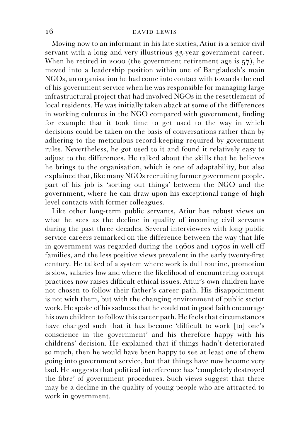Moving now to an informant in his late sixties, Atiur is a senior civil servant with a long and very illustrious 33-year government career. When he retired in 2000 (the government retirement age is 57), he moved into a leadership position within one of Bangladesh's main NGOs, an organisation he had come into contact with towards the end of his government service when he was responsible for managing large infrastructural project that had involved NGOs in the resettlement of local residents. He was initially taken aback at some of the differences in working cultures in the NGO compared with government, finding for example that it took time to get used to the way in which decisions could be taken on the basis of conversations rather than by adhering to the meticulous record-keeping required by government rules. Nevertheless, he got used to it and found it relatively easy to adjust to the differences. He talked about the skills that he believes he brings to the organisation, which is one of adaptability, but also explained that, like many NGOs recruiting former government people, part of his job is 'sorting out things' between the NGO and the government, where he can draw upon his exceptional range of high level contacts with former colleagues.

Like other long-term public servants, Atiur has robust views on what he sees as the decline in quality of incoming civil servants during the past three decades. Several interviewees with long public service careers remarked on the difference between the way that life in government was regarded during the 1960s and 1970s in well-off families, and the less positive views prevalent in the early twenty-first century. He talked of a system where work is dull routine, promotion is slow, salaries low and where the likelihood of encountering corrupt practices now raises difficult ethical issues. Atiur's own children have not chosen to follow their father's career path. His disappointment is not with them, but with the changing environment of public sector work. He spoke of his sadness that he could not in good faith encourage his own children to follow this career path. He feels that circumstances have changed such that it has become 'difficult to work [to] one's conscience in the government' and his therefore happy with his childrens' decision. He explained that if things hadn't deteriorated so much, then he would have been happy to see at least one of them going into government service, but that things have now become very bad. He suggests that political interference has 'completely destroyed the fibre' of government procedures. Such views suggest that there may be a decline in the quality of young people who are attracted to work in government.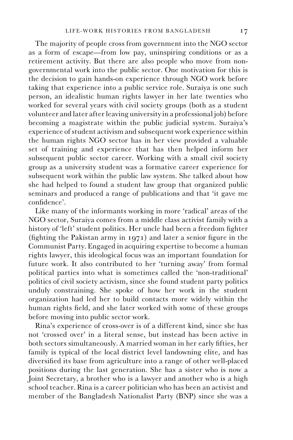The majority of people cross from government into the NGO sector as a form of escape—from low pay, uninspiring conditions or as a retirement activity. But there are also people who move from nongovernmental work into the public sector. One motivation for this is the decision to gain hands-on experience through NGO work before taking that experience into a public service role. Suraiya is one such person, an idealistic human rights lawyer in her late twenties who worked for several years with civil society groups (both as a student volunteer and later after leaving university in a professional job) before becoming a magistrate within the public judicial system. Suraiya's experience of student activism and subsequent work experience within the human rights NGO sector has in her view provided a valuable set of training and experience that has then helped inform her subsequent public sector career. Working with a small civil society group as a university student was a formative career experience for subsequent work within the public law system. She talked about how she had helped to found a student law group that organized public seminars and produced a range of publications and that 'it gave me confidence'.

Like many of the informants working in more 'radical' areas of the NGO sector, Suraiya comes from a middle class activist family with a history of 'left' student politics. Her uncle had been a freedom fighter (fighting the Pakistan army in 1971) and later a senior figure in the Communist Party. Engaged in acquiring expertise to become a human rights lawyer, this ideological focus was an important foundation for future work. It also contributed to her 'turning away' from formal political parties into what is sometimes called the 'non-traditional' politics of civil society activism, since she found student party politics unduly constraining. She spoke of how her work in the student organization had led her to build contacts more widely within the human rights field, and she later worked with some of these groups before moving into public sector work.

Rina's experience of cross-over is of a different kind, since she has not 'crossed over' in a literal sense, but instead has been active in both sectors simultaneously. A married woman in her early fifties, her family is typical of the local district level landowning elite, and has diversified its base from agriculture into a range of other well-placed positions during the last generation. She has a sister who is now a Joint Secretary, a brother who is a lawyer and another who is a high school teacher. Rina is a career politician who has been an activist and member of the Bangladesh Nationalist Party (BNP) since she was a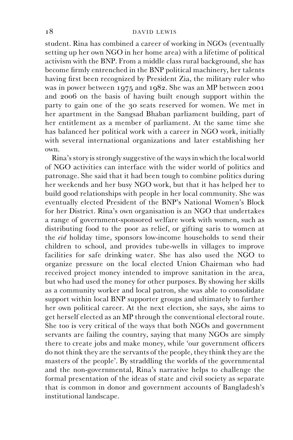student. Rina has combined a career of working in NGOs (eventually setting up her own NGO in her home area) with a lifetime of political activism with the BNP. From a middle class rural background, she has become firmly entrenched in the BNP political machinery, her talents having first been recognized by President Zia, the military ruler who was in power between 1975 and 1982. She was an MP between 2001 and 2006 on the basis of having built enough support within the party to gain one of the 30 seats reserved for women. We met in her apartment in the Sangsad Bhaban parliament building, part of her entitlement as a member of parliament. At the same time she has balanced her political work with a career in NGO work, initially with several international organizations and later establishing her own.

Rina's story is strongly suggestive of the ways in which the local world of NGO activities can interface with the wider world of politics and patronage. She said that it had been tough to combine politics during her weekends and her busy NGO work, but that it has helped her to build good relationships with people in her local community. She was eventually elected President of the BNP's National Women's Block for her District. Rina's own organisation is an NGO that undertakes a range of government-sponsored welfare work with women, such as distributing food to the poor as relief, or gifting saris to women at the *eid* holiday time, sponsors low-income households to send their children to school, and provides tube-wells in villages to improve facilities for safe drinking water. She has also used the NGO to organize pressure on the local elected Union Chairman who had received project money intended to improve sanitation in the area, but who had used the money for other purposes. By showing her skills as a community worker and local patron, she was able to consolidate support within local BNP supporter groups and ultimately to further her own political career. At the next election, she says, she aims to get herself elected as an MP through the conventional electoral route. She too is very critical of the ways that both NGOs and government servants are failing the country, saying that many NGOs are simply there to create jobs and make money, while 'our government officers do not think they are the servants of the people, they think they are the masters of the people'. By straddling the worlds of the governmental and the non-governmental, Rina's narrative helps to challenge the formal presentation of the ideas of state and civil society as separate that is common in donor and government accounts of Bangladesh's institutional landscape.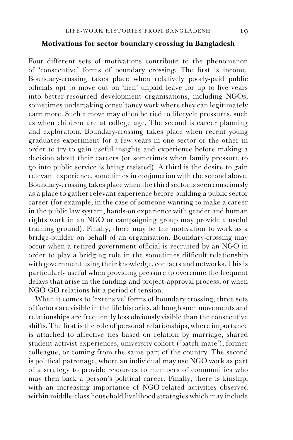# **Motivations for sector boundary crossing in Bangladesh**

Four different sets of motivations contribute to the phenomenon of 'consecutive' forms of boundary crossing. The first is income. Boundary-crossing takes place when relatively poorly-paid public officials opt to move out on 'lien' unpaid leave for up to five years into better-resourced development organisations, including NGOs, sometimes undertaking consultancy work where they can legitimately earn more. Such a move may often be tied to lifecycle pressures, such as when children are at college age. The second is career planning and exploration. Boundary-crossing takes place when recent young graduates experiment for a few years in one sector or the other in order to try to gain useful insights and experience before making a decision about their careers (or sometimes when family pressure to go into public service is being resisted). A third is the desire to gain relevant experience, sometimes in conjunction with the second above. Boundary-crossing takes place when the third sector is seen consciously as a place to gather relevant experience before building a public sector career (for example, in the case of someone wanting to make a career in the public law system, hands-on experience with gender and human rights work in an NGO or campaigning group may provide a useful training ground). Finally, there may be the motivation to work as a bridge-builder on behalf of an organisation. Boundary-crossing may occur when a retired government official is recruited by an NGO in order to play a bridging role in the sometimes difficult relationship with government using their knowledge, contacts and networks. This is particularly useful when providing pressure to overcome the frequent delays that arise in the funding and project-approval process, or when NGO-GO relations hit a period of tension.

When it comes to 'extensive' forms of boundary crossing, three sets of factors are visible in the life histories, although such movements and relationships are frequently less obviously visible than the consecutive shifts. The first is the role of personal relationships, where importance is attached to affective ties based on relation by marriage, shared student activist experiences, university cohort ('batch-mate'), former colleague, or coming from the same part of the country. The second is political patronage, where an individual may use NGO work as part of a strategy to provide resources to members of communities who may then back a person's political career. Finally, there is kinship, with an increasing importance of NGO-related activities observed within middle-class household livelihood strategies which may include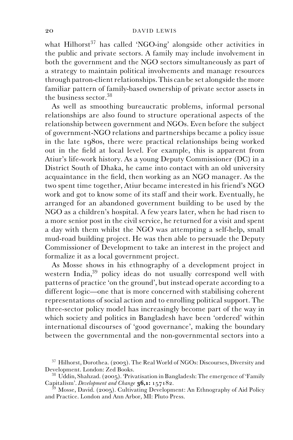what Hilhorst<sup>37</sup> has called 'NGO-ing' alongside other activities in the public and private sectors. A family may include involvement in both the government and the NGO sectors simultaneously as part of a strategy to maintain political involvements and manage resources through patron-client relationships. This can be set alongside the more familiar pattern of family-based ownership of private sector assets in the business sector.<sup>38</sup>

As well as smoothing bureaucratic problems, informal personal relationships are also found to structure operational aspects of the relationship between government and NGOs. Even before the subject of government-NGO relations and partnerships became a policy issue in the late 1980s, there were practical relationships being worked out in the field at local level. For example, this is apparent from Atiur's life-work history. As a young Deputy Commissioner (DC) in a District South of Dhaka, he came into contact with an old university acquaintance in the field, then working as an NGO manager. As the two spent time together, Atiur became interested in his friend's NGO work and got to know some of its staff and their work. Eventually, he arranged for an abandoned government building to be used by the NGO as a children's hospital. A few years later, when he had risen to a more senior post in the civil service, he returned for a visit and spent a day with them whilst the NGO was attempting a self-help, small mud-road building project. He was then able to persuade the Deputy Commissioner of Development to take an interest in the project and formalize it as a local government project.

As Mosse shows in his ethnography of a development project in western India,<sup>39</sup> policy ideas do not usually correspond well with patterns of practice 'on the ground', but instead operate according to a different logic—one that is more concerned with stabilising coherent representations of social action and to enrolling political support. The three-sector policy model has increasingly become part of the way in which society and politics in Bangladesh have been 'ordered' within international discourses of 'good governance', making the boundary between the governmental and the non-governmental sectors into a

 $^{37}$  Hilhorst, Dorothea. (2003). The Real World of NGOs: Discourses, Diversity and Development. London: Zed Books.

<sup>&</sup>lt;sup>38</sup> Uddin, Shahzad. (2005). 'Privatisation in Bangladesh: The emergence of 'Family Capitalism'. *Development and Change* **36,1:** 157182.

<sup>&</sup>lt;sup>39</sup> Mosse, David. (2005). Cultivating Development: An Ethnography of Aid Policy and Practice. London and Ann Arbor, MI: Pluto Press.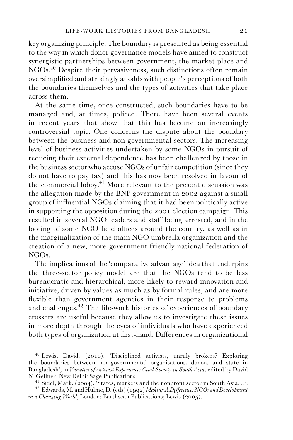key organizing principle. The boundary is presented as being essential to the way in which donor governance models have aimed to construct synergistic partnerships between government, the market place and NGOs.40 Despite their pervasiveness, such distinctions often remain oversimplified and strikingly at odds with people's perceptions of both the boundaries themselves and the types of activities that take place across them.

At the same time, once constructed, such boundaries have to be managed and, at times, policed. There have been several events in recent years that show that this has become an increasingly controversial topic. One concerns the dispute about the boundary between the business and non-governmental sectors. The increasing level of business activities undertaken by some NGOs in pursuit of reducing their external dependence has been challenged by those in the business sector who accuse NGOs of unfair competition (since they do not have to pay tax) and this has now been resolved in favour of the commercial lobby. $41$  More relevant to the present discussion was the allegation made by the BNP government in 2002 against a small group of influential NGOs claiming that it had been politically active in supporting the opposition during the 2001 election campaign. This resulted in several NGO leaders and staff being arrested, and in the looting of some NGO field offices around the country, as well as in the marginalization of the main NGO umbrella organization and the creation of a new, more government-friendly national federation of NGOs.

The implications of the 'comparative advantage' idea that underpins the three-sector policy model are that the NGOs tend to be less bureaucratic and hierarchical, more likely to reward innovation and initiative, driven by values as much as by formal rules, and are more flexible than government agencies in their response to problems and challenges.<sup>42</sup> The life-work histories of experiences of boundary crossers are useful because they allow us to investigate these issues in more depth through the eyes of individuals who have experienced both types of organization at first-hand. Differences in organizational

<sup>40</sup> Lewis, David. (2010). 'Disciplined activists, unruly brokers? Exploring the boundaries between non-governmental organisations, donors and state in Bangladesh', in *Varieties of Activist Experience: Civil Society in South Asia*, edited by David

<sup>&</sup>lt;sup>41</sup> Sidel, Mark. (2004). 'States, markets and the nonprofit sector in South Asia...'.<br><sup>42</sup> Edwards, M. and Hulme, D. (eds) (1992) *Making A Difference: NGOs and Development* 

*in a Changing World*, London: Earthscan Publications; Lewis (2005).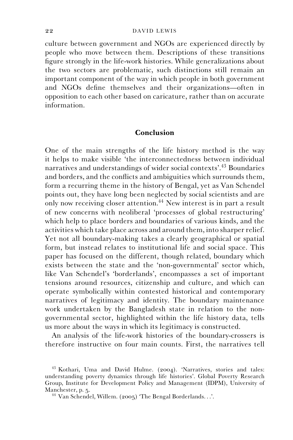culture between government and NGOs are experienced directly by people who move between them. Descriptions of these transitions figure strongly in the life-work histories. While generalizations about the two sectors are problematic, such distinctions still remain an important component of the way in which people in both government and NGOs define themselves and their organizations—often in opposition to each other based on caricature, rather than on accurate information.

# **Conclusion**

One of the main strengths of the life history method is the way it helps to make visible 'the interconnectedness between individual narratives and understandings of wider social contexts'.43 Boundaries and borders, and the conflicts and ambiguities which surrounds them, form a recurring theme in the history of Bengal, yet as Van Schendel points out, they have long been neglected by social scientists and are only now receiving closer attention.<sup>44</sup> New interest is in part a result of new concerns with neoliberal 'processes of global restructuring' which help to place borders and boundaries of various kinds, and the activities which take place across and around them, into sharper relief. Yet not all boundary-making takes a clearly geographical or spatial form, but instead relates to institutional life and social space. This paper has focused on the different, though related, boundary which exists between the state and the 'non-governmental' sector which, like Van Schendel's 'borderlands', encompasses a set of important tensions around resources, citizenship and culture, and which can operate symbolically within contested historical and contemporary narratives of legitimacy and identity. The boundary maintenance work undertaken by the Bangladesh state in relation to the nongovernmental sector, highlighted within the life history data, tells us more about the ways in which its legitimacy is constructed.

An analysis of the life-work histories of the boundary-crossers is therefore instructive on four main counts. First, the narratives tell

<sup>43</sup> Kothari, Uma and David Hulme. (2004). 'Narratives, stories and tales: understanding poverty dynamics through life histories'. Global Poverty Research Group, Institute for Development Policy and Management (IDPM), University of

<sup>&</sup>lt;sup>44</sup> Van Schendel, Willem. (2005) 'The Bengal Borderlands...'.